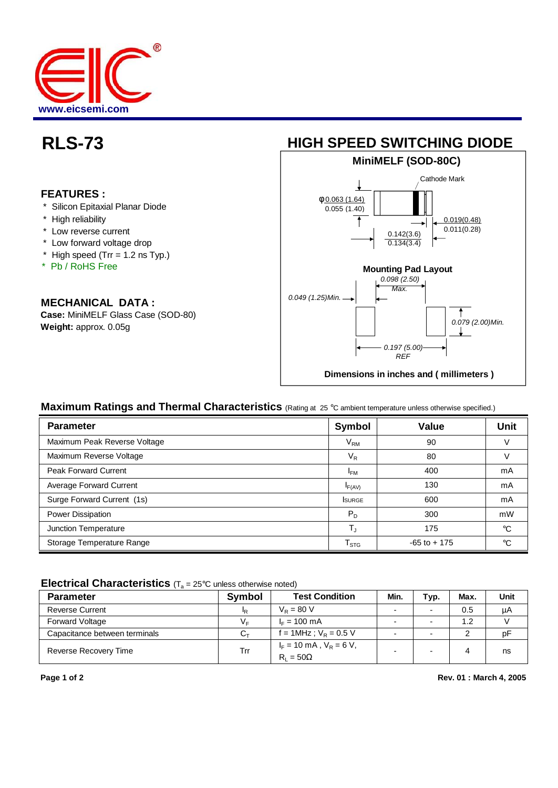

### **FEATURES :**

- \* Silicon Epitaxial Planar Diode
- \* High reliability
- \* Low reverse current
- \* Low forward voltage drop
- $*$  High speed (Trr = 1.2 ns Typ.)
- \* Pb / RoHS Free

# **MECHANICAL DATA :**

**Case:** MiniMELF Glass Case (SOD-80) **Weight:** approx. 0.05g



# **Maximum Ratings and Thermal Characteristics** (Rating at 25 °C ambient temperature unless otherwise specified.)

| <b>Parameter</b>             | <b>Symbol</b>          | <b>Value</b>    | <b>Unit</b> |
|------------------------------|------------------------|-----------------|-------------|
| Maximum Peak Reverse Voltage | $\rm V_{RM}$           | 90              | V           |
| Maximum Reverse Voltage      | $V_{R}$                | 80              | V           |
| <b>Peak Forward Current</b>  | <sup>I</sup> FM        | 400             | mA          |
| Average Forward Current      | F(AV)                  | 130             | mA          |
| Surge Forward Current (1s)   | <b>SURGE</b>           | 600             | mA          |
| Power Dissipation            | $P_D$                  | 300             | mW          |
| Junction Temperature         | $T_{\rm J}$            | 175             | $^{\circ}C$ |
| Storage Temperature Range    | ${\sf T}_{\text{STG}}$ | $-65$ to $+175$ | $^{\circ}C$ |

#### **Electrical Characteristics** (T<sub>a</sub> = 25°C unless otherwise noted)

| <b>Parameter</b>              | Symbol | <b>Test Condition</b>                                             | Min.                     | Typ. | Max. | Unit |
|-------------------------------|--------|-------------------------------------------------------------------|--------------------------|------|------|------|
| <b>Reverse Current</b>        | ΙR     | $V_{\rm p} = 80$ V                                                | $\overline{\phantom{a}}$ |      | 0.5  | μA   |
| <b>Forward Voltage</b>        | V⊧     | $I_F = 100 \text{ mA}$                                            | $\overline{\phantom{a}}$ |      | 1.2  |      |
| Capacitance between terminals | Cт     | f = 1MHz ; $V_R$ = 0.5 V                                          | $\overline{\phantom{a}}$ |      |      | pF   |
| Reverse Recovery Time         | Trr    | $I_F = 10 \text{ mA}$ , $V_R = 6 \text{ V}$ ,<br>$R_1 = 50\Omega$ | -                        |      | 4    | ns   |

**Page 1 of 2 Rev. 01 : March 4, 2005**